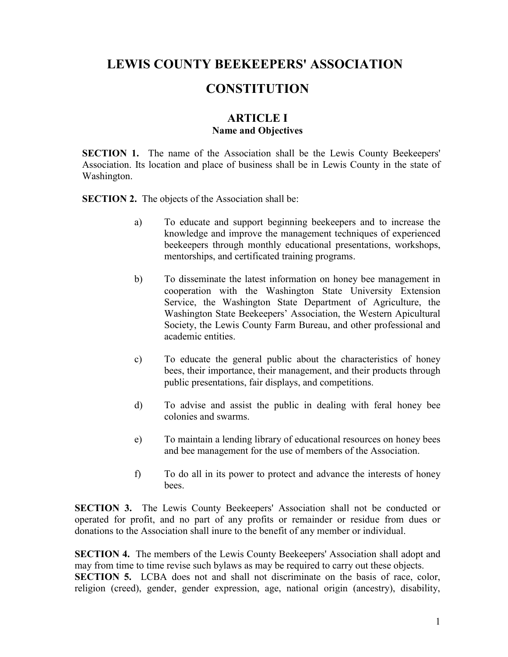# **LEWIS COUNTY BEEKEEPERS' ASSOCIATION**

## **CONSTITUTION**

## **ARTICLE I Name and Objectives**

**SECTION 1.** The name of the Association shall be the Lewis County Beekeepers' Association. Its location and place of business shall be in Lewis County in the state of Washington.

**SECTION 2.** The objects of the Association shall be:

- a) To educate and support beginning beekeepers and to increase the knowledge and improve the management techniques of experienced beekeepers through monthly educational presentations, workshops, mentorships, and certificated training programs.
- b) To disseminate the latest information on honey bee management in cooperation with the Washington State University Extension Service, the Washington State Department of Agriculture, the Washington State Beekeepers' Association, the Western Apicultural Society, the Lewis County Farm Bureau, and other professional and academic entities.
- c) To educate the general public about the characteristics of honey bees, their importance, their management, and their products through public presentations, fair displays, and competitions.
- d) To advise and assist the public in dealing with feral honey bee colonies and swarms.
- e) To maintain a lending library of educational resources on honey bees and bee management for the use of members of the Association.
- f) To do all in its power to protect and advance the interests of honey **bees**

**SECTION 3.** The Lewis County Beekeepers' Association shall not be conducted or operated for profit, and no part of any profits or remainder or residue from dues or donations to the Association shall inure to the benefit of any member or individual.

**SECTION 4.** The members of the Lewis County Beekeepers' Association shall adopt and may from time to time revise such bylaws as may be required to carry out these objects. **SECTION 5.** LCBA does not and shall not discriminate on the basis of race, color, religion (creed), gender, gender expression, age, national origin (ancestry), disability,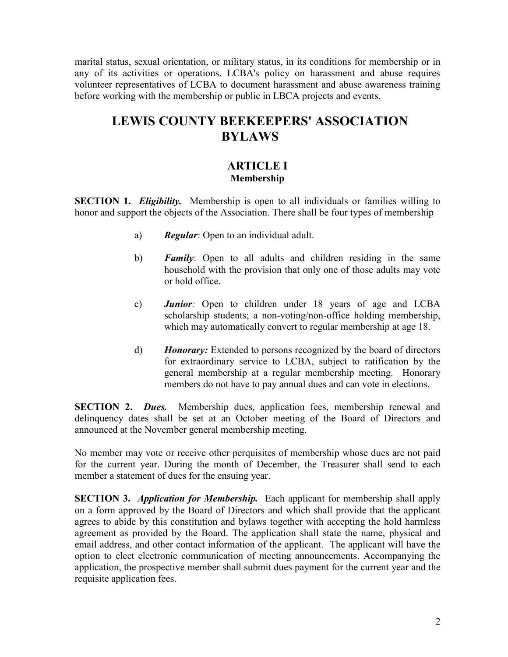marital status, sexual orientation, or military status, in its conditions for membership or in any of its activities or operations. LCBA's policy on harassment and abuse requires volunteer representatives of LCBA to document harassment and abuse awareness training before working with the membership or public in LBCA projects and events.

# **LEWIS COUNTY BEEKEEPERS' ASSOCIATION BYLAWS**

## **ARTICLE I Membership**

**SECTION 1.** *Eligibility.* Membership is open to all individuals or families willing to honor and support the objects of the Association. There shall be four types of membership

- a) *Regular*: Open to an individual adult.
- b) *Family*: Open to all adults and children residing in the same household with the provision that only one of those adults may vote or hold office.
- c) *Junior:* Open to children under 18 years of age and LCBA scholarship students; a non-voting/non-office holding membership, which may automatically convert to regular membership at age 18.
- d) *Honorary:* Extended to persons recognized by the board of directors for extraordinary service to LCBA, subject to ratification by the general membership at a regular membership meeting. Honorary members do not have to pay annual dues and can vote in elections.

**SECTION 2.** *Dues*. Membership dues, application fees, membership renewal and delinquency dates shall be set at an October meeting of the Board of Directors and announced at the November general membership meeting.

No member may vote or receive other perquisites of membership whose dues are not paid for the current year. During the month of December, the Treasurer shall send to each member a statement of dues for the ensuing year.

**SECTION 3.** *Application for Membership.* Each applicant for membership shall apply on a form approved by the Board of Directors and which shall provide that the applicant agrees to abide by this constitution and bylaws together with accepting the hold harmless agreement as provided by the Board. The application shall state the name, physical and email address, and other contact information of the applicant. The applicant will have the option to elect electronic communication of meeting announcements. Accompanying the application, the prospective member shall submit dues payment for the current year and the requisite application fees.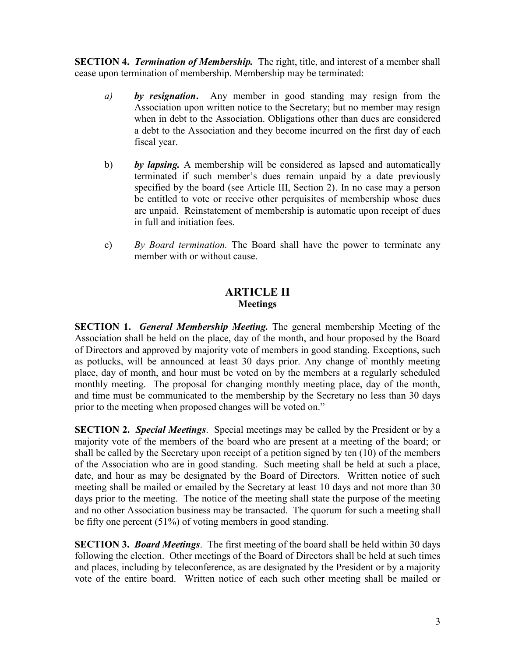**SECTION 4.** *Termination of Membership*. The right, title, and interest of a member shall cease upon termination of membership. Membership may be terminated:

- *a) by resignation***.** Any member in good standing may resign from the Association upon written notice to the Secretary; but no member may resign when in debt to the Association. Obligations other than dues are considered a debt to the Association and they become incurred on the first day of each fiscal year.
- b) *by lapsing.* A membership will be considered as lapsed and automatically terminated if such member's dues remain unpaid by a date previously specified by the board (see Article III, Section 2). In no case may a person be entitled to vote or receive other perquisites of membership whose dues are unpaid.Reinstatement of membership is automatic upon receipt of dues in full and initiation fees.
- c) *By Board termination.* The Board shall have the power to terminate any member with or without cause.

## **ARTICLE II Meetings**

**SECTION 1.** *General Membership Meeting.* The general membership Meeting of the Association shall be held on the place, day of the month, and hour proposed by the Board of Directors and approved by majority vote of members in good standing. Exceptions, such as potlucks, will be announced at least 30 days prior. Any change of monthly meeting place, day of month, and hour must be voted on by the members at a regularly scheduled monthly meeting. The proposal for changing monthly meeting place, day of the month, and time must be communicated to the membership by the Secretary no less than 30 days prior to the meeting when proposed changes will be voted on."

**SECTION 2.** *Special Meetings*. Special meetings may be called by the President or by a majority vote of the members of the board who are present at a meeting of the board; or shall be called by the Secretary upon receipt of a petition signed by ten (10) of the members of the Association who are in good standing. Such meeting shall be held at such a place, date, and hour as may be designated by the Board of Directors. Written notice of such meeting shall be mailed or emailed by the Secretary at least 10 days and not more than 30 days prior to the meeting. The notice of the meeting shall state the purpose of the meeting and no other Association business may be transacted. The quorum for such a meeting shall be fifty one percent (51%) of voting members in good standing.

**SECTION 3.** *Board Meetings*. The first meeting of the board shall be held within 30 days following the election. Other meetings of the Board of Directors shall be held at such times and places, including by teleconference, as are designated by the President or by a majority vote of the entire board. Written notice of each such other meeting shall be mailed or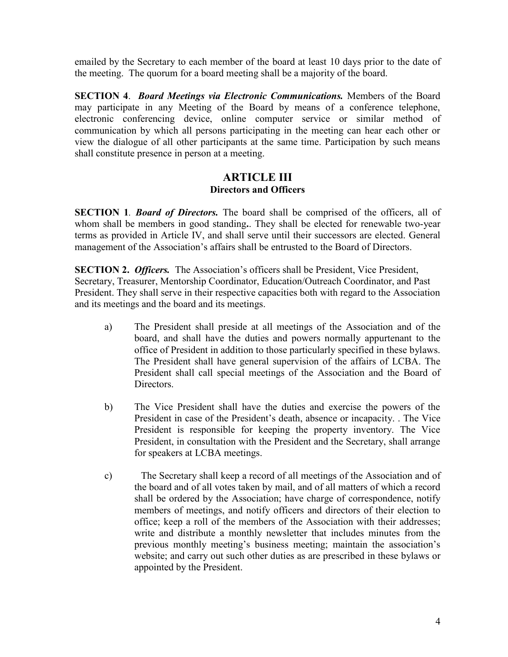emailed by the Secretary to each member of the board at least 10 days prior to the date of the meeting. The quorum for a board meeting shall be a majority of the board.

**SECTION 4**. *Board Meetings via Electronic Communications.* Members of the Board may participate in any Meeting of the Board by means of a conference telephone, electronic conferencing device, online computer service or similar method of communication by which all persons participating in the meeting can hear each other or view the dialogue of all other participants at the same time. Participation by such means shall constitute presence in person at a meeting.

## **ARTICLE III Directors and Officers**

**SECTION 1***. Board of Directors.* The board shall be comprised of the officers, all of whom shall be members in good standing**.**. They shall be elected for renewable two-year terms as provided in Article IV, and shall serve until their successors are elected. General management of the Association's affairs shall be entrusted to the Board of Directors.

**SECTION 2.** *Officers.* The Association's officers shall be President, Vice President, Secretary, Treasurer, Mentorship Coordinator, Education/Outreach Coordinator, and Past President. They shall serve in their respective capacities both with regard to the Association and its meetings and the board and its meetings.

- a) The President shall preside at all meetings of the Association and of the board, and shall have the duties and powers normally appurtenant to the office of President in addition to those particularly specified in these bylaws. The President shall have general supervision of the affairs of LCBA. The President shall call special meetings of the Association and the Board of Directors.
- b) The Vice President shall have the duties and exercise the powers of the President in case of the President's death, absence or incapacity. . The Vice President is responsible for keeping the property inventory. The Vice President, in consultation with the President and the Secretary, shall arrange for speakers at LCBA meetings.
- c) The Secretary shall keep a record of all meetings of the Association and of the board and of all votes taken by mail, and of all matters of which a record shall be ordered by the Association; have charge of correspondence, notify members of meetings, and notify officers and directors of their election to office; keep a roll of the members of the Association with their addresses; write and distribute a monthly newsletter that includes minutes from the previous monthly meeting's business meeting; maintain the association's website; and carry out such other duties as are prescribed in these bylaws or appointed by the President.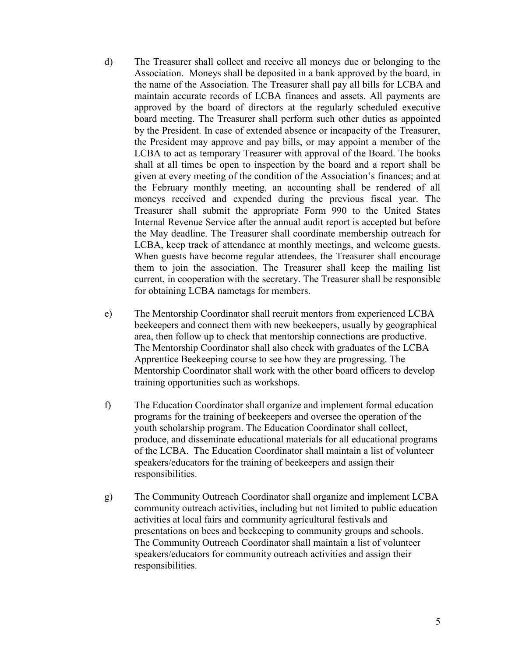- d) The Treasurer shall collect and receive all moneys due or belonging to the Association. Moneys shall be deposited in a bank approved by the board, in the name of the Association. The Treasurer shall pay all bills for LCBA and maintain accurate records of LCBA finances and assets. All payments are approved by the board of directors at the regularly scheduled executive board meeting. The Treasurer shall perform such other duties as appointed by the President. In case of extended absence or incapacity of the Treasurer, the President may approve and pay bills, or may appoint a member of the LCBA to act as temporary Treasurer with approval of the Board. The books shall at all times be open to inspection by the board and a report shall be given at every meeting of the condition of the Association's finances; and at the February monthly meeting, an accounting shall be rendered of all moneys received and expended during the previous fiscal year. The Treasurer shall submit the appropriate Form 990 to the United States Internal Revenue Service after the annual audit report is accepted but before the May deadline. The Treasurer shall coordinate membership outreach for LCBA, keep track of attendance at monthly meetings, and welcome guests. When guests have become regular attendees, the Treasurer shall encourage them to join the association. The Treasurer shall keep the mailing list current, in cooperation with the secretary. The Treasurer shall be responsible for obtaining LCBA nametags for members.
- e) The Mentorship Coordinator shall recruit mentors from experienced LCBA beekeepers and connect them with new beekeepers, usually by geographical area, then follow up to check that mentorship connections are productive. The Mentorship Coordinator shall also check with graduates of the LCBA Apprentice Beekeeping course to see how they are progressing. The Mentorship Coordinator shall work with the other board officers to develop training opportunities such as workshops.
- f) The Education Coordinator shall organize and implement formal education programs for the training of beekeepers and oversee the operation of the youth scholarship program. The Education Coordinator shall collect, produce, and disseminate educational materials for all educational programs of the LCBA. The Education Coordinator shall maintain a list of volunteer speakers/educators for the training of beekeepers and assign their responsibilities.
- g) The Community Outreach Coordinator shall organize and implement LCBA community outreach activities, including but not limited to public education activities at local fairs and community agricultural festivals and presentations on bees and beekeeping to community groups and schools. The Community Outreach Coordinator shall maintain a list of volunteer speakers/educators for community outreach activities and assign their responsibilities.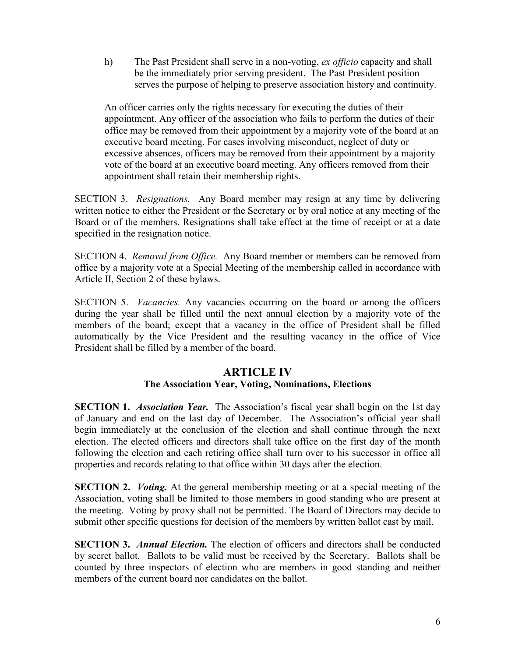h) The Past President shall serve in a non-voting, *ex officio* capacity and shall be the immediately prior serving president. The Past President position serves the purpose of helping to preserve association history and continuity.

An officer carries only the rights necessary for executing the duties of their appointment. Any officer of the association who fails to perform the duties of their office may be removed from their appointment by a majority vote of the board at an executive board meeting. For cases involving misconduct, neglect of duty or excessive absences, officers may be removed from their appointment by a majority vote of the board at an executive board meeting. Any officers removed from their appointment shall retain their membership rights.

SECTION 3. *Resignations.* Any Board member may resign at any time by delivering written notice to either the President or the Secretary or by oral notice at any meeting of the Board or of the members. Resignations shall take effect at the time of receipt or at a date specified in the resignation notice.

SECTION 4. *Removal from Office.* Any Board member or members can be removed from office by a majority vote at a Special Meeting of the membership called in accordance with Article II, Section 2 of these bylaws.

SECTION 5. *Vacancies.* Any vacancies occurring on the board or among the officers during the year shall be filled until the next annual election by a majority vote of the members of the board; except that a vacancy in the office of President shall be filled automatically by the Vice President and the resulting vacancy in the office of Vice President shall be filled by a member of the board.

#### **ARTICLE IV The Association Year, Voting, Nominations, Elections**

**SECTION 1.** *Association Year.* The Association's fiscal year shall begin on the 1st day of January and end on the last day of December. The Association's official year shall begin immediately at the conclusion of the election and shall continue through the next election. The elected officers and directors shall take office on the first day of the month following the election and each retiring office shall turn over to his successor in office all properties and records relating to that office within 30 days after the election.

**SECTION 2.** *Voting.* At the general membership meeting or at a special meeting of the Association, voting shall be limited to those members in good standing who are present at the meeting. Voting by proxy shall not be permitted. The Board of Directors may decide to submit other specific questions for decision of the members by written ballot cast by mail.

**SECTION 3.** *Annual Election.* The election of officers and directors shall be conducted by secret ballot. Ballots to be valid must be received by the Secretary. Ballots shall be counted by three inspectors of election who are members in good standing and neither members of the current board nor candidates on the ballot.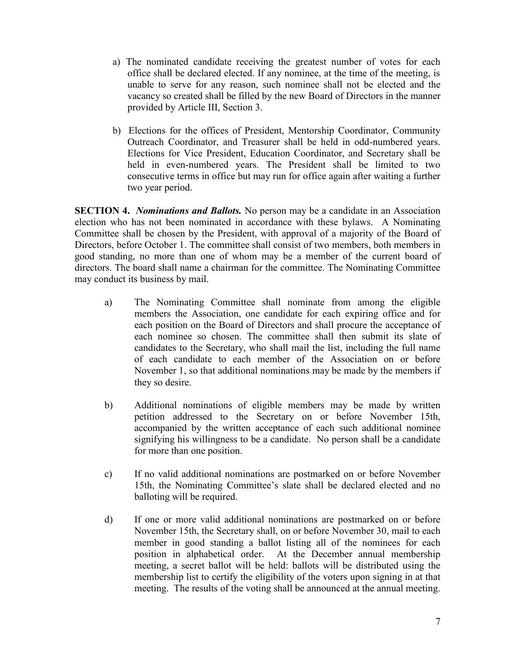- a) The nominated candidate receiving the greatest number of votes for each office shall be declared elected. If any nominee, at the time of the meeting, is unable to serve for any reason, such nominee shall not be elected and the vacancy so created shall be filled by the new Board of Directors in the manner provided by Article III, Section 3.
- b) Elections for the offices of President, Mentorship Coordinator, Community Outreach Coordinator, and Treasurer shall be held in odd-numbered years. Elections for Vice President, Education Coordinator, and Secretary shall be held in even-numbered years. The President shall be limited to two consecutive terms in office but may run for office again after waiting a further two year period.

**SECTION 4.** *Nominations and Ballots.* No person may be a candidate in an Association election who has not been nominated in accordance with these bylaws. A Nominating Committee shall be chosen by the President, with approval of a majority of the Board of Directors, before October 1. The committee shall consist of two members, both members in good standing, no more than one of whom may be a member of the current board of directors. The board shall name a chairman for the committee. The Nominating Committee may conduct its business by mail.

- a) The Nominating Committee shall nominate from among the eligible members the Association, one candidate for each expiring office and for each position on the Board of Directors and shall procure the acceptance of each nominee so chosen. The committee shall then submit its slate of candidates to the Secretary, who shall mail the list, including the full name of each candidate to each member of the Association on or before November 1, so that additional nominations may be made by the members if they so desire.
- b) Additional nominations of eligible members may be made by written petition addressed to the Secretary on or before November 15th, accompanied by the written acceptance of each such additional nominee signifying his willingness to be a candidate. No person shall be a candidate for more than one position.
- c) If no valid additional nominations are postmarked on or before November 15th, the Nominating Committee's slate shall be declared elected and no balloting will be required.
- d) If one or more valid additional nominations are postmarked on or before November 15th, the Secretary shall, on or before November 30, mail to each member in good standing a ballot listing all of the nominees for each position in alphabetical order. At the December annual membership meeting, a secret ballot will be held: ballots will be distributed using the membership list to certify the eligibility of the voters upon signing in at that meeting. The results of the voting shall be announced at the annual meeting.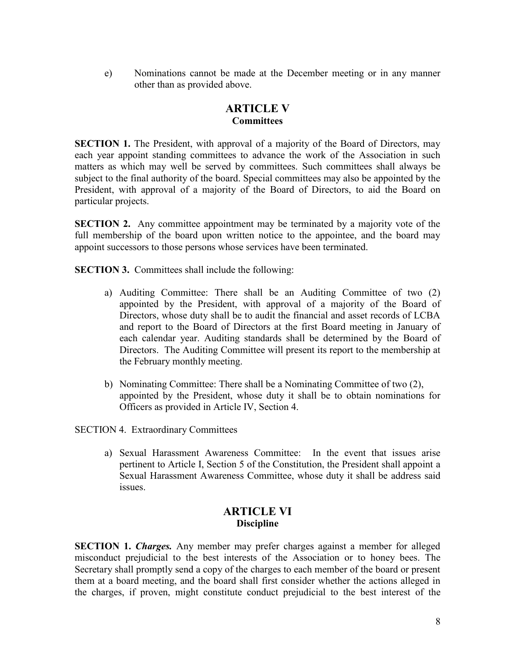e) Nominations cannot be made at the December meeting or in any manner other than as provided above.

## **ARTICLE V Committees**

**SECTION 1.** The President, with approval of a majority of the Board of Directors, may each year appoint standing committees to advance the work of the Association in such matters as which may well be served by committees. Such committees shall always be subject to the final authority of the board. Special committees may also be appointed by the President, with approval of a majority of the Board of Directors, to aid the Board on particular projects.

**SECTION 2.** Any committee appointment may be terminated by a majority vote of the full membership of the board upon written notice to the appointee, and the board may appoint successors to those persons whose services have been terminated.

**SECTION 3.** Committees shall include the following:

- a) Auditing Committee: There shall be an Auditing Committee of two (2) appointed by the President, with approval of a majority of the Board of Directors, whose duty shall be to audit the financial and asset records of LCBA and report to the Board of Directors at the first Board meeting in January of each calendar year. Auditing standards shall be determined by the Board of Directors. The Auditing Committee will present its report to the membership at the February monthly meeting.
- b) Nominating Committee: There shall be a Nominating Committee of two (2), appointed by the President, whose duty it shall be to obtain nominations for Officers as provided in Article IV, Section 4.

SECTION 4. Extraordinary Committees

a) Sexual Harassment Awareness Committee: In the event that issues arise pertinent to Article I, Section 5 of the Constitution, the President shall appoint a Sexual Harassment Awareness Committee, whose duty it shall be address said issues.

## **ARTICLE VI Discipline**

**SECTION 1.** *Charges.* Any member may prefer charges against a member for alleged misconduct prejudicial to the best interests of the Association or to honey bees. The Secretary shall promptly send a copy of the charges to each member of the board or present them at a board meeting, and the board shall first consider whether the actions alleged in the charges, if proven, might constitute conduct prejudicial to the best interest of the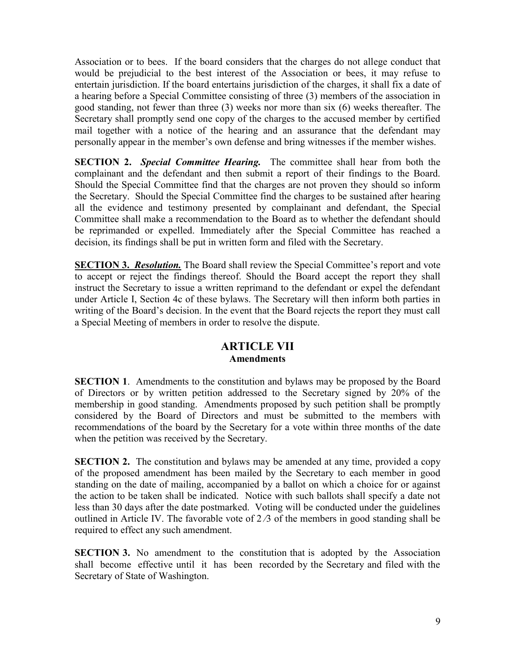Association or to bees. If the board considers that the charges do not allege conduct that would be prejudicial to the best interest of the Association or bees, it may refuse to entertain jurisdiction. If the board entertains jurisdiction of the charges, it shall fix a date of a hearing before a Special Committee consisting of three (3) members of the association in good standing, not fewer than three (3) weeks nor more than six (6) weeks thereafter. The Secretary shall promptly send one copy of the charges to the accused member by certified mail together with a notice of the hearing and an assurance that the defendant may personally appear in the member's own defense and bring witnesses if the member wishes.

**SECTION 2.** *Special Committee Hearing.* The committee shall hear from both the complainant and the defendant and then submit a report of their findings to the Board. Should the Special Committee find that the charges are not proven they should so inform the Secretary. Should the Special Committee find the charges to be sustained after hearing all the evidence and testimony presented by complainant and defendant, the Special Committee shall make a recommendation to the Board as to whether the defendant should be reprimanded or expelled. Immediately after the Special Committee has reached a decision, its findings shall be put in written form and filed with the Secretary.

**SECTION 3.** *Resolution.* The Board shall review the Special Committee's report and vote to accept or reject the findings thereof. Should the Board accept the report they shall instruct the Secretary to issue a written reprimand to the defendant or expel the defendant under Article I, Section 4c of these bylaws. The Secretary will then inform both parties in writing of the Board's decision. In the event that the Board rejects the report they must call a Special Meeting of members in order to resolve the dispute.

## **ARTICLE VII Amendments**

**SECTION 1.** Amendments to the constitution and bylaws may be proposed by the Board of Directors or by written petition addressed to the Secretary signed by 20% of the membership in good standing. Amendments proposed by such petition shall be promptly considered by the Board of Directors and must be submitted to the members with recommendations of the board by the Secretary for a vote within three months of the date when the petition was received by the Secretary.

**SECTION 2.** The constitution and bylaws may be amended at any time, provided a copy of the proposed amendment has been mailed by the Secretary to each member in good standing on the date of mailing, accompanied by a ballot on which a choice for or against the action to be taken shall be indicated. Notice with such ballots shall specify a date not less than 30 days after the date postmarked. Voting will be conducted under the guidelines outlined in Article IV. The favorable vote of  $2/3$  of the members in good standing shall be required to effect any such amendment.

**SECTION 3.** No amendment to the constitution that is adopted by the Association shall become effective until it has been recorded by the Secretary and filed with the Secretary of State of Washington.